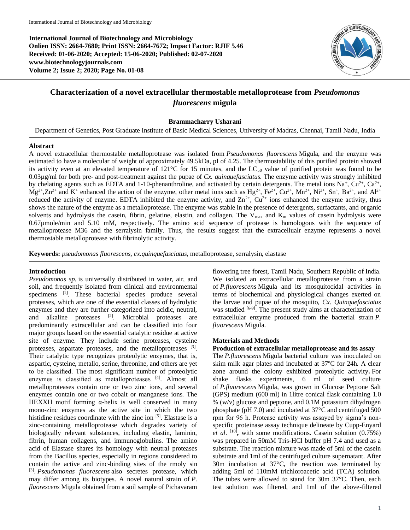**International Journal of Biotechnology and Microbiology Onlien ISSN: 2664-7680; Print ISSN: 2664-7672; Impact Factor: RJIF 5.46 Received: 01-06-2020; Accepted: 15-06-2020; Published: 02-07-2020 www.biotechnologyjournals.com Volume 2; Issue 2; 2020; Page No. 01-08**



# **Characterization of a novel extracellular thermostable metalloprotease from** *Pseudomonas fluorescens* **migula**

#### **Brammacharry Usharani**

Department of Genetics, Post Graduate Institute of Basic Medical Sciences, University of Madras, Chennai, Tamil Nadu, India

#### **Abstract**

A novel extracellular thermostable metalloprotease was isolated from *Pseudomonas fluorescens* Migula, and the enzyme was estimated to have a molecular of weight of approximately 49.5kDa, pI of 4.25. The thermostability of this purified protein showed its activity even at an elevated temperature of  $121^{\circ}$ C for 15 minutes, and the LC<sub>50</sub> value of purified protein was found to be 0.03µg/ml for both pre- and post-treatment against the pupae of *Cx. quinquefasciatus*. The enzyme activity was strongly inhibited by chelating agents such as EDTA and 1-10-phenanthroline, and activated by certain detergents. The metal ions Na<sup>+</sup>, Cu<sup>2+</sup>, Ca<sup>2+</sup>,  $Mg^{2+}Zn^{2+}$  and K<sup>+</sup> enhanced the action of the enzyme, other metal ions such as Hg<sup>2+</sup>, Fe<sup>2+</sup>, Co<sup>2+</sup>, Mn<sup>2+</sup>, Ni<sup>2+</sup>, Sn<sup>+</sup>, Ba<sup>2+</sup>, and Al<sup>2+</sup> reduced the activity of enzyme. EDTA inhibited the enzyme activity, and  $Zn^{2+}$ ,  $Cu^{2+}$  ions enhanced the enzyme activity, thus shows the nature of the enzyme as a metalloprotease. The enzyme was stable in the presence of detergents, surfactants, and organic solvents and hydrolysis the casein, fibrin, gelatine, elastin, and collagen. The  $V_{\text{max}}$  and  $K_{\text{max}}$  values of casein hydrolysis were 0.67µmole/min and 5.10 mM, respectively. The amino acid sequence of protease is homologous with the sequence of metalloprotease M36 and the serralysin family. Thus, the results suggest that the extracellualr enzyme represents a novel thermostable metalloprotease with fibrinolytic activity.

**Keywords:** *pseudomonas fluorescens, cx.quinquefasciatus,* metalloprotease, serralysin, elastase

#### **Introduction**

*Pseudomonas sp.* is universally distributed in water, air, and soil, and frequently isolated from clinical and environmental specimens <sup>[1]</sup>. These bacterial species produce several proteases, which are one of the essential classes of hydrolytic enzymes and they are further categorized into acidic, neutral, and alkaline proteases [2]. Microbial proteases are predominantly extracellular and can be classified into four major groups based on the essential catalytic residue at active site of enzyme. They include serine proteases, cysteine proteases, aspartate proteases, and the metalloproteases [3]. Their catalytic type recognizes proteolytic enzymes, that is, aspartic, cysteine, metallo, serine, threonine, and others are yet to be classified. The most significant number of proteolytic enzymes is classified as metalloproteases [4]. Almost all metalloproteases contain one or two zinc ions, and several enzymes contain one or two cobalt or manganese ions. The HEXXH motif forming  $\alpha$ -helix is well conserved in many mono-zinc enzymes as the active site in which the two histidine residues coordinate with the zinc ion [5]. Elastase is a zinc-containing metalloprotease which degrades variety of biologically relevant substances, including elastin, laminin, fibrin, human collagens, and immunoglobulins. The amino acid of Elastase shares its homology with neutral proteases from the Bacillus species, especially in regions considered to contain the active and zinc-binding sites of the rmoly sin [3]. *Pseudomonas fluorescens* also secretes protease, which may differ among its biotypes. A novel natural strain of *P. fluorescens* Migula obtained from a soil sample of Pichavaram

flowering tree forest, Tamil Nadu, Southern Republic of India. We isolated an extracellular metalloprotease from a strain of *P.fluorescens* Migula and its mosquitocidal activities in terms of biochemical and physiological changes exerted on the larvae and pupae of the mosquito, *Cx. Quinquefasciatus* was studied [6-9]. The present study aims at characterization of extracellular enzyme produced from the bacterial strain *P. fluorescens* Migula.

#### **Materials and Methods**

#### **Production of extracellular metalloprotease and its assay**

The *P.fluorescens* Migula bacterial culture was inoculated on skim milk agar plates and incubated at 37ºC for 24h. A clear zone around the colony exhibited proteolytic activity**.** For shake flasks experiments, 6 ml of seed culture of *P.fluorescens* Migula, was grown in Glucose Peptone Salt (GPS) medium (600 ml) in 1litre conical flask containing 1.0 % (w/v) glucose and peptone, and 0.1M potassium dihydrogen phosphate (pH 7.0) and incubated at 37°C and centrifuged 500 rpm for 96 h. Protease activity was assayed by sigma's nonspecific proteinase assay technique delineate by Cupp-Enyard et al. <sup>[10]</sup>, with some modifications. Casein solution (0.75%) was prepared in 50mM Tris-HCl buffer pH 7.4 and used as a substrate. The reaction mixture was made of 5ml of the casein substrate and 1ml of the centrifuged culture supernatant. After 30m incubation at 37°C, the reaction was terminated by adding 5ml of 110mM trichloroacetic acid (TCA) solution. The tubes were allowed to stand for 30m 37°C. Then, each test solution was filtered, and 1ml of the above-filtered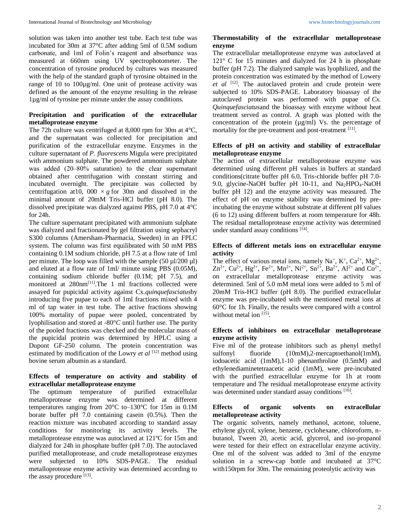solution was taken into another test tube. Each test tube was incubated for 30m at 37°C after adding 5ml of 0.5M sodium carbonate, and 1ml of Folin's reagent and absorbance was measured at 660nm using UV spectrophotometer. The concentration of tyrosine produced by cultures was measured with the help of the standard graph of tyrosine obtained in the range of 10 to 100µg/ml. One unit of protease activity was defined as the amount of the enzyme resulting in the release 1µg/ml of tyrosine per minute under the assay conditions.

# **Precipitation and purification of the extracellular metalloprotease enzyme**

The 72h culture was centrifuged at 8,000 rpm for 30m at 4°C, and the supernatant was collected for precipitation and purification of the extracellular enzyme. Enzymes in the culture supernatant of *P. fluorescens* Migula were precipitated with ammonium sulphate. The powdered ammonium sulphate was added (20–80% saturation) to the clear supernatant obtained after centrifugation with constant stirring and incubated overnight. The precipitate was collected by centrifugation at 10, 000  $\times g$  for 30m and dissolved in the minimal amount of 20mM Tris-HCl buffer (pH 8.0). The dissolved precipitate was dialyzed against PBS, pH 7.0 at 4°C for 24h.

The culture supernatant precipitated with ammonium sulphate was dialyzed and fractionated by gel filtration using sephacryl S300 columns (Amersham-Pharmacia, Sweden) in an FPLC system. The column was first equilibrated with 50 mM PBS containing 0.1M sodium chloride, pH 7.5 at a flow rate of 1ml per minute. The loop was filled with the sample  $(50 \mu\text{J}/200 \mu\text{I})$ and eluted at a flow rate of 1ml/ minute using PBS (0.05M), containing sodium chloride buffer (0.1M; pH 7.5), and monitored at 280nm<sup>[11]</sup>.The 1 ml fractions collected were assayed for pupicidal activity against Cx.*quinquefasciatus*by introducing five pupae to each of 1ml fractions mixed with 4 ml of tap water in test tube. The active fractions showing 100% mortality of pupae were pooled, concentrated by lyophilisation and stored at -80°*C* until further use. The purity of the pooled fractions was checked and the molecular mass of the pupicidal protein was determined by HPLC using a Dupont GF-250 column. The protein concentration was estimated by modification of the Lowry *et al* [12] method using bovine serum albumin as a standard.

# **Effects of temperature on activity and stability of extracellular metalloprotease enzyme**

The optimum temperature of purified extracellular metalloprotease enzyme was determined at different temperatures ranging from 20°C to–130°C for 15m in 0.1M borate buffer pH 7.0 containing casein (0.5%). Then the reaction mixture was incubated according to standard assay conditions for monitoring its activity levels. The metalloprotease enzyme was autoclaved at 121ºC for 15m and dialyzed for 24h in phosphate buffer (pH 7.0). The autoclaved purified metalloprotease, and crude metalloprotease enzymes were subjected to 10% SDS-PAGE. The residual metalloprotease enzyme activity was determined according to the assay procedure [13].

# **Thermostability of the extracellular metalloprotease enzyme**

The extracellular metalloprotease enzyme was autoclaved at 121º C for 15 minutes and dialyzed for 24 h in phosphate buffer (pH 7.2). The dialyzed sample was lyophilized, and the protein concentration was estimated by the method of Lowery *et al* [12]. The autoclaved protein and crude protein were subjected to 10% SDS-PAGE. Laboratory bioassay of the autoclaved protein was performed with pupae of *Cx. Quinquefasciatus*and the bioassay with enzyme without heat treatment served as control. A graph was plotted with the concentration of the protein (µg/ml) Vs. the percentage of mortality for the pre-treatment and post-treatment [11].

# **Effects of pH on activity and stability of extracellular metalloprotease enzyme**

The action of extracellular metalloprotease enzyme was determined using different pH values in buffers at standard conditions(citrate buffer pH 6.0, Tris-chloride buffer pH 7.0- 9.0, glycine-NaOH buffer pH 10-11, and  $Na<sub>2</sub>HPO<sub>4</sub>$ -NaOH buffer pH 12) and the enzyme activity was measured. The effect of pH on enzyme stability was determined by preincubating the enzyme without substrate at different pH values (6 to 12) using different buffers at room temperature for 48h. The residual metalloprotease enzyme activity was determined under standard assay conditions [14].

### **Effects of different metals ions on extracellular enzyme activity**

The effect of various metal ions, namely  $Na^+$ ,  $K^+$ ,  $Ca^{2+}$ ,  $Mg^{2+}$ ,  $\text{Zn}^{2+}$ ,  $\text{Cu}^{2+}$ ,  $\text{Hg}^{2+}$ ,  $\text{Fe}^{2+}$ ,  $\text{Mn}^{2+}$ ,  $\text{Ni}^{2+}$ ,  $\text{Sn}^{2+}$ ,  $\text{Ba}^{2+}$ ,  $\text{Al}^{2+}$  and  $\text{Co}^{2+}$ , on extracellular metalloprotease enzyme activity was determined. 5ml of 5.0 mM metal ions were added to 5 ml of 20mM Tris-HCl buffer (pH 8.0). The purified extracellular enzyme was pre-incubated with the mentioned metal ions at 60°C for 1h. Finally, the results were compared with a control without metal ion [15].

# **Effects of inhibitors on extracellular metalloprotease enzyme activity**

Five ml of the protease inhibitors such as phenyl methyl sulfonyl fluoride  $(10mM)$ , 2-mercaptoethanol(1mM), iodoacetic acid (1mM),1-10 phenanthroline (0.5mM) and ethylenediaminetetraacetic acid (1mM), were pre-incubated with the purified extracellular enzyme for 1h at room temperature and The residual metalloprotease enzyme activity was determined under standard assay conditions [16].

#### **Effects of organic solvents on extracellular metalloprotease activity**

The organic solvents, namely methanol, acetone, toluene, ethylene glycol, xylene, benzene, cyclohexane, chloroform, nbutanol, Tween 20, acetic acid, glycerol, and iso-propanol were tested for their effect on extracellular enzyme activity. One ml of the solvent was added to 3ml of the enzyme solution in a screw-cap bottle and incubated at 37°C with150rpm for 30m. The remaining proteolytic activity was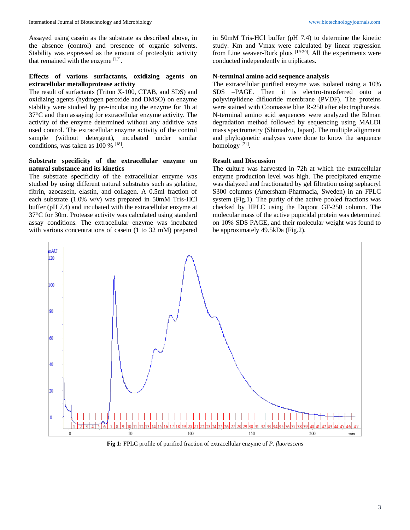Assayed using casein as the substrate as described above, in the absence (control) and presence of organic solvents. Stability was expressed as the amount of proteolytic activity that remained with the enzyme [17].

# **Effects of various surfactants, oxidizing agents on extracellular metalloprotease activity**

The result of surfactants (Triton X-100, CTAB, and SDS) and oxidizing agents (hydrogen peroxide and DMSO) on enzyme stability were studied by pre-incubating the enzyme for 1h at 37°C and then assaying for extracellular enzyme activity. The activity of the enzyme determined without any additive was used control. The extracellular enzyme activity of the control sample (without detergent), incubated under similar conditions, was taken as  $100\%$  <sup>[18]</sup>.

### **Substrate specificity of the extracellular enzyme on natural substance and its kinetics**

The substrate specificity of the extracellular enzyme was studied by using different natural substrates such as gelatine, fibrin, azocasein, elastin, and collagen. A 0.5ml fraction of each substrate (1.0% w/v) was prepared in 50mM Tris-HCl buffer (pH 7.4) and incubated with the extracellular enzyme at 37°C for 30m. Protease activity was calculated using standard assay conditions. The extracellular enzyme was incubated with various concentrations of casein (1 to 32 mM) prepared in 50mM Tris-HCl buffer (pH 7.4) to determine the kinetic study. Km and Vmax were calculated by linear regression from Line weaver-Burk plots <sup>[19-20]</sup>. All the experiments were conducted independently in triplicates.

### **N-terminal amino acid sequence analysis**

The extracellular purified enzyme was isolated using a 10% SDS –PAGE. Then it is electro-transferred onto a polyvinylidene difluoride membrane (PVDF). The proteins were stained with Coomassie blue R-250 after electrophoresis. N-terminal amino acid sequences were analyzed the Edman degradation method followed by sequencing using MALDI mass spectrometry (Shimadzu, Japan). The multiple alignment and phylogenetic analyses were done to know the sequence homology<sup>[21]</sup>.

### **Result and Discussion**

The culture was harvested in 72h at which the extracellular enzyme production level was high. The precipitated enzyme was dialyzed and fractionated by gel filtration using sephacryl S300 columns (Amersham-Pharmacia, Sweden) in an FPLC system (Fig.1). The purity of the active pooled fractions was checked by HPLC using the Dupont GF-250 column. The molecular mass of the active pupicidal protein was determined on 10% SDS PAGE, and their molecular weight was found to be approximately 49.5kDa (Fig.2).



**Fig 1:** FPLC profile of purified fraction of extracellular enzyme of *P. fluorescens*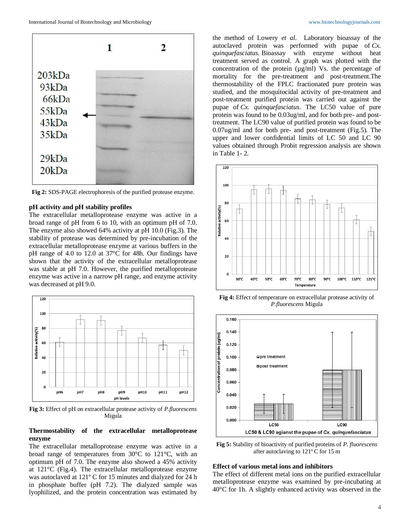

**Fig 2:** SDS-PAGE electrophoresis of the purified protease enzyme.

#### **pH activity and pH stability profiles**

The extracellular metalloprotease enzyme was active in a broad range of pH from 6 to 10, with an optimum pH of 7.0. The enzyme also showed 64% activity at pH 10.0 (Fig.3). The stability of protease was determined by pre-incubation of the extracellular metalloprotease enzyme at various buffers in the pH range of 4.0 to 12.0 at 37°C for 48h. Our findings have shown that the activity of the extracellular metalloprotease was stable at pH 7.0. However, the purified metalloprotease enzyme was active in a narrow pH range, and enzyme activity was decreased at pH 9.0.



**Fig 3:** Effect of pH on extracellular protease activity of *P.fluorescens* Migula

### **Thermostability of the extracellular metalloprotease enzyme**

The extracellular metalloprotease enzyme was active in a broad range of temperatures from 30°C to 121°C, with an optimum pH of 7.0. The enzyme also showed a 45% activity at 121°C (Fig.4). The extracellular metalloprotease enzyme was autoclaved at 121º C for 15 minutes and dialyzed for 24 h in phosphate buffer (pH 7.2). The dialyzed sample was lyophilized, and the protein concentration was estimated by

the method of Lowery *et al*. Laboratory bioassay of the autoclaved protein was performed with pupae of *Cx. quinquefasciatus.* Bioassay with enzyme without heat treatment served as control. A graph was plotted with the concentration of the protein  $(\mu g/ml)$  Vs. the percentage of mortality for the pre-treatment and post-treatment.The thermostability of the FPLC fractionated pure protein was studied, and the mosquitocidal activity of pre-treatment and post-treatment purified protein was carried out against the pupae of *Cx. quinquefasciatus*. The LC50 value of pure protein was found to be 0.03ug/ml, and for both pre- and posttreatment. The LC90 value of purified protein was found to be 0.07ug/ml and for both pre- and post-treatment (Fig.5). The upper and lower confidential limits of LC 50 and LC 90 values obtained through Probit regression analysis are shown in Table 1- 2.



**Fig 4:** Effect of temperature on extracellular protease activity of *P.fluorescens* Migula



**Fig 5:** Stability of bioactivity of purified proteins of *P. fluorescens* after autoclaving to  $121^{\circ}$ C for 15 m

#### **Effect of various metal ions and inhibitors**

The effect of different metal ions on the purified extracellular metalloprotease enzyme was examined by pre-incubating at 40°C for 1h. A slightly enhanced activity was observed in the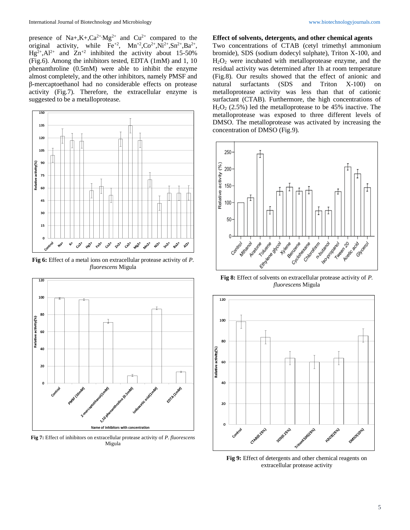presence of Na+,K+,Ca<sup>2+</sup>,Mg<sup>2+</sup> and Cu<sup>2+</sup> compared to the original activity, while  $\text{Fe}^{+2}$ ,  $\text{Mn}^{+2}$ ,  $\text{Co}^{2+}$ ,  $\text{Ni}^{2+}$ ,  $\text{Sn}^{2+}$ ,  $\text{Ba}^{2+}$ ,  $Hg^{2+}$ , Al<sup>2+</sup> and  $Zn^{+2}$  inhibited the activity about 15-50% (Fig.6). Among the inhibitors tested, EDTA (1mM) and 1, 10 phenanthroline (0.5mM) were able to inhibit the enzyme almost completely, and the other inhibitors, namely PMSF and β-mercaptoethanol had no considerable effects on protease activity (Fig.7). Therefore, the extracellular enzyme is suggested to be a metalloprotease.



**Fig 6:** Effect of a metal ions on extracellular protease activity of *P. fluorescens* Migula



**Fig 7:** Effect of inhibitors on extracellular protease activity of *P. fluorescens*  Migula

#### **Effect of solvents, detergents, and other chemical agents**

Two concentrations of CTAB (cetyl trimethyl ammonium bromide), SDS (sodium dodecyl sulphate), Triton X-100, and H2O<sup>2</sup> were incubated with metalloprotease enzyme, and the residual activity was determined after 1h at room temperature (Fig.8). Our results showed that the effect of anionic and natural surfactants (SDS and Triton X-100) on metalloprotease activity was less than that of cationic surfactant (CTAB). Furthermore, the high concentrations of H2O<sup>2</sup> (2.5%) led the metalloprotease to be 45% inactive. The metalloprotease was exposed to three different levels of DMSO. The metalloprotease was activated by increasing the concentration of DMSO (Fig.9).



**Fig 8:** Effect of solvents on extracellular protease activity of *P. fluorescens* Migula



**Fig 9:** Effect of detergents and other chemical reagents on extracellular protease activity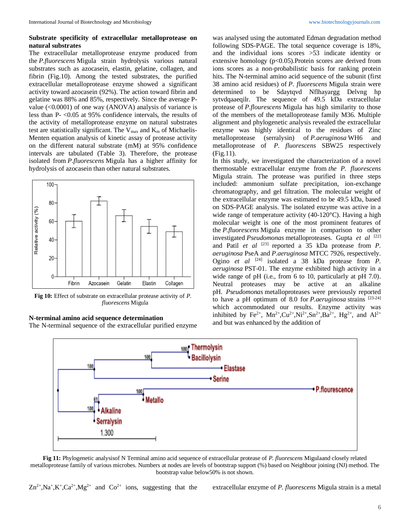### **Substrate specificity of extracellular metalloprotease on natural substrates**

The extracellular metalloprotease enzyme produced from the *P.fluorescens* Migula strain hydrolysis various natural substrates such as azocasein, elastin, gelatine, collagen, and fibrin (Fig.10). Among the tested substrates, the purified extracellular metalloprotease enzyme showed a significant activity toward azocasein (92%). The action toward fibrin and gelatine was 88% and 85%, respectively. Since the average Pvalue (<0.0001) of one way (ANOVA) analysis of variance is less than P- <0.05 at 95% confidence intervals, the results of the activity of metalloprotease enzyme on natural substrates test are statistically significant. The  $V_{max}$  and  $K_m$  of Michaelis-Menten equation analysis of kinetic assay of protease activity on the different natural substrate (mM) at 95% confidence intervals are tabulated (Table 3). Therefore, the protease isolated from *P.fluorescens* Migula has a higher affinity for hydrolysis of azocasein than other natural substrates.



**Fig 10:** Effect of substrate on extracellular protease activity of *P. fluorescens* Migula

### **N-terminal amino acid sequence determination**

The N-terminal sequence of the extracellular purified enzyme

was analysed using the automated Edman degradation method following SDS-PAGE. The total sequence coverage is 18%, and the individual ions scores >53 indicate identity or extensive homology (p<0.05). Protein scores are derived from ions scores as a non-probabilistic basis for ranking protein hits. The N-terminal amino acid sequence of the subunit (first 38 amino acid residues) of *P. fluorescens* Migula strain were determined to be Sdaytqvd Nflhayargg Delvng hp sytvdqaaeqilr. The sequence of 49.5 kDa extracellular protease of *P.flourescens* Migula has high similarity to those of the members of the metalloprotease family M36. Multiple alignment and phylogenetic analysis revealed the extracellular enzyme was highly identical to the residues of Zinc metalloprotease (serralysin) of *P.aeruginosa* WH6 and metalloprotease of *P. fluorescens* SBW25 respectively (Fig.11).

In this study, we investigated the characterization of a novel thermostable extracellular enzyme from *the P. fluorescens*  Migula strain. The protease was purified in three steps included: ammonium sulfate precipitation, ion-exchange chromatography, and gel filtration. The molecular weight of the extracellular enzyme was estimated to be 49.5 kDa, based on SDS-PAGE analysis. The isolated enzyme was active in a wide range of temperature activity (40-120°C). Having a high molecular weight is one of the most prominent features of the *P.fluorescens* Migula enzyme in comparison to other investigated *Pseudomonas* metalloproteases. Gupta *et al* [22] and Patil *et al* <sup>[23]</sup> reported a 35 kDa protease from *P*. *aeruginosa* PseA and *P.aeruginosa* MTCC 7926, respectively. Ogino *et al* [24] isolated a 38 kDa protease from *P. aeruginosa* PST-01. The enzyme exhibited high activity in a wide range of pH (i.e., from 6 to 10, particularly at pH 7.0). Neutral proteases may be active at an alkaline pH. *Pseudomonas* metalloproteases were previously reported to have a pH optimum of 8.0 for *P.aeruginosa* strains [23-24] which accommodated our results. Enzyme activity was inhibited by Fe<sup>2+</sup>, Mn<sup>2+</sup>,Cu<sup>2+</sup>,Ni<sup>2+</sup>,Sn<sup>2+</sup>,Ba<sup>2+</sup>, Hg<sup>2+</sup>, and Al<sup>2+</sup> and but was enhanced by the addition of



**Fig 11:** Phylogenetic analysisof N Terminal amino acid sequence of extracellular protease of *P. fluorescens* Migulaand closely related metalloprotease family of various microbes. Numbers at nodes are levels of bootstrap support (%) based on Neighbour joining (NJ) method. The bootstrap value below50% is not shown.

 $\rm Zn^{2+},Na^+,K^+$ 

extracellular enzyme of *P. fluorescens* Migula strain is a metal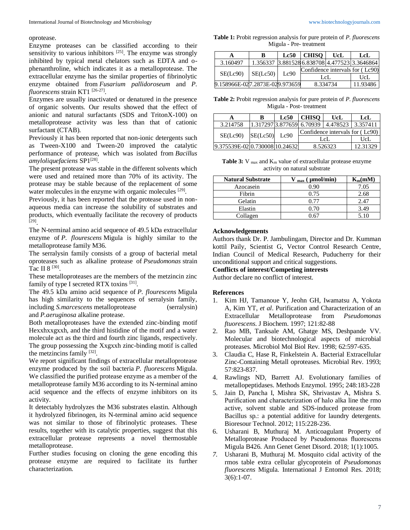#### oprotease.

Enzyme proteases can be classified according to their sensitivity to various inhibitors  $[25]$ . The enzyme was strongly inhibited by typical metal chelators such as EDTA and ophenanthroline, which indicates it as a metalloprotease. The extracellular enzyme has the similar properties of fibrinolytic enzyme obtained from *Fusarium pallidoroseum* and *P. fluorescens* strain KT1 [26-27] .

Enzymes are usually inactivated or denatured in the presence of organic solvents. Our results showed that the effect of anionic and natural surfactants (SDS and TritonX-100) on metalloprotease activity was less than that of cationic surfactant (CTAB).

Previously it has been reported that non-ionic detergents such as Tween-X100 and Tween-20 improved the catalytic performance of protease, which was isolated from *Bacillus*  amyloliquefaciens SP1<sup>[28]</sup>.

The present protease was stable in the different solvents which were used and retained more than 70% of its activity. The protease may be stable because of the replacement of some water molecules in the enzyme with organic molecules  $[29]$ .

Previously, it has been reported that the protease used in nonaqueous media can increase the solubility of substrates and products, which eventually facilitate the recovery of products [29] .

The N-terminal amino acid sequence of 49.5 kDa extracellular enzyme of *P. flourescens* Migula is highly similar to the metalloprotease family M36.

The serralysin family consists of a group of bacterial metal oproteases such as alkaline protease of *Pseudomonas* strain Tac II 8<sup>[30]</sup>.

These metalloproteases are the members of the metzincin zinc family of type I secreted RTX toxins [31].

The 49.5 kDa amino acid sequence of *P. flourescens* Migula has high similarity to the sequences of serralysin family, including *S.marcescens* metalloprotease (serralysin) and *P.aeruginosa* alkaline protease.

Both metalloproteases have the extended zinc-binding motif Hexxhxxgxxh, and the third histidine of the motif and a water molecule act as the third and fourth zinc ligands, respectively. The group possessing the Xxgxxh zinc-binding motif is called the metzincins family [32].

We report significant findings of extracellular metalloprotease enzyme produced by the soil bacteria *P. fluorescens* Migula. We classified the purified protease enzyme as a member of the metalloprotease family M36 according to its N-terminal amino acid sequence and the effects of enzyme inhibitors on its activity.

It detectably hydrolyzes the M36 substrates elastin. Although it hydrolyzed fibrinogen, its N-terminal amino acid sequence was not similar to those of fibrinolytic proteases. These results, together with its catalytic properties, suggest that this extracellular protease represents a novel thermostable metalloprotease.

Further studies focusing on cloning the gene encoding this protease enzyme are required to facilitate its further characterization.

**Table 1:** Probit regression analysis for pure protein of *P. fluorescens* Migula - Pre- treatment

|                                | в        | Lc50 | <b>CHISO</b>                    | UcL | LcL                                           |
|--------------------------------|----------|------|---------------------------------|-----|-----------------------------------------------|
| 3.160497                       |          |      |                                 |     | 1.356337 3.881528 6.838708 4.477523 3.3646864 |
| SE(Le90)                       | SE(Le50) | Lc90 | Confidence intervals for (Lc90) |     |                                               |
|                                |          |      | LeL                             |     | UcL                                           |
| 9.158966E-027.2873E-029.973659 |          |      | 8.334734                        |     | 11.93486                                      |

**Table 2:** Probit regression analysis for pure protein of *P. fluorescens* Migula - Post- treatment

|                                | B        | Lc50 | <b>CHISO</b>                    | UcL                                                                | LcL      |
|--------------------------------|----------|------|---------------------------------|--------------------------------------------------------------------|----------|
| 3.214758                       |          |      |                                 | $\vert 1.317297 \vert 3.877659 \vert 6.70939 \vert 4.478523 \vert$ | 3.357411 |
| SE(Le90)                       | SE(Le50) | Lc90 | Confidence intervals for (Lc90) |                                                                    |          |
|                                |          |      | LeL                             |                                                                    | UcL      |
| 9.375539E-0210.730008110.24632 |          |      | 8.526323                        |                                                                    | 12.31329 |

Table 3: V max and K<sub>m</sub> value of extracellular protease enzyme activity on natural substrate

| <b>Natural Substrate</b> | $U_{\text{max}}$ ( $\mu$ mol/min) | $K_m(mM)$ |
|--------------------------|-----------------------------------|-----------|
| Azocasein                | 0.90                              | 7.05      |
| Fibrin                   | 0.75                              | 2.68      |
| Gelatin                  | 0.77                              | 2.47      |
| Elastin                  | 0.70                              | 3.49      |
| Collagen                 |                                   |           |

#### **Acknowledgements**

Authors thank Dr. P. Jambulingam, Director and Dr. Kumman kottil Paily, Scientist G, Vector Control Research Centre, Indian Council of Medical Research, Puducherry for their unconditional support and critical suggestions.

**Conflicts of interest/Competing interests**

Author declare no conflict of interest.

#### **References**

- 1. Kim HJ, Tamanoue Y, Jeohn GH, Iwamatsu A, Yokota A, Kim YT, *et al*. Purification and Characterization of an Extracellular Metalloprotease from *Pseudomonas ftuorescens*. J Biochem. 1997; 121:82-88
- 2. Rao MB, Tanksale AM, Ghatge MS, Deshpande VV. Molecular and biotechnological aspects of microbial proteases. Microbiol Mol Biol Rev. 1998; 62:597-635.
- 3. Claudia C, Hase R, Finkelstein A. Bacterial Extracellular Zinc-Containing Metall oproteases. Microbial Rev. 1993; 57:823-837.
- 4. Rawlings ND, Barrett AJ. Evolutionary families of metallopeptidases. Methods Enzymol. 1995; 248:183-228
- 5. Jain D, Pancha I, Mishra SK, Shrivastav A, Mishra S. Purification and characterization of halo alka line the rmo active, solvent stable and SDS-induced protease from Bacillus sp.: a potential additive for laundry detergents. Bioresour Technol. 2012; 115:228-236.
- 6. Usharani B, Muthuraj M. Anticoagulant Property of Metalloprotease Produced by Pseudomonas fluorescens Migula B426. Ann Genet Genet Disord. 2018; 1(1):1005.
- *7.* Usharani B, Muthuraj M. Mosquito cidal activity of the rmos table extra cellular glycoprotein of *Pseudomonas fluorescens* Migula. International J Entomol Res. 2018;  $3(6):1-07.$